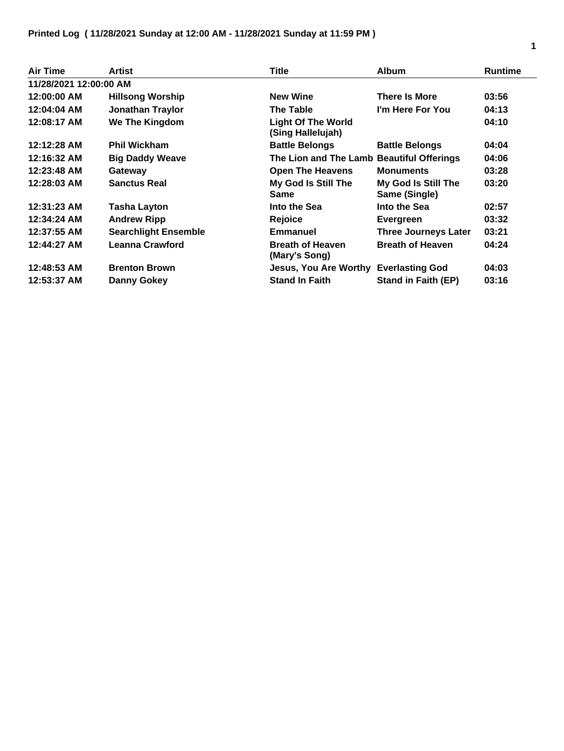| Air Time               | Artist                      | Title                                          | <b>Album</b>                         | <b>Runtime</b> |
|------------------------|-----------------------------|------------------------------------------------|--------------------------------------|----------------|
| 11/28/2021 12:00:00 AM |                             |                                                |                                      |                |
| 12:00:00 AM            | <b>Hillsong Worship</b>     | <b>New Wine</b>                                | <b>There Is More</b>                 | 03:56          |
| 12:04:04 AM            | <b>Jonathan Traylor</b>     | <b>The Table</b>                               | I'm Here For You                     | 04:13          |
| 12:08:17 AM            | We The Kingdom              | <b>Light Of The World</b><br>(Sing Hallelujah) |                                      | 04:10          |
| 12:12:28 AM            | <b>Phil Wickham</b>         | <b>Battle Belongs</b>                          | <b>Battle Belongs</b>                | 04:04          |
| 12:16:32 AM            | <b>Big Daddy Weave</b>      | The Lion and The Lamb Beautiful Offerings      |                                      | 04:06          |
| 12:23:48 AM            | Gateway                     | <b>Open The Heavens</b>                        | <b>Monuments</b>                     | 03:28          |
| 12:28:03 AM            | <b>Sanctus Real</b>         | My God Is Still The<br><b>Same</b>             | My God Is Still The<br>Same (Single) | 03:20          |
| 12:31:23 AM            | <b>Tasha Layton</b>         | Into the Sea                                   | Into the Sea                         | 02:57          |
| 12:34:24 AM            | <b>Andrew Ripp</b>          | Rejoice                                        | Evergreen                            | 03:32          |
| 12:37:55 AM            | <b>Searchlight Ensemble</b> | <b>Emmanuel</b>                                | <b>Three Journeys Later</b>          | 03:21          |
| 12:44:27 AM            | <b>Leanna Crawford</b>      | <b>Breath of Heaven</b><br>(Mary's Song)       | <b>Breath of Heaven</b>              | 04:24          |
| 12:48:53 AM            | <b>Brenton Brown</b>        | Jesus, You Are Worthy Everlasting God          |                                      | 04:03          |
| 12:53:37 AM            | Danny Gokey                 | <b>Stand In Faith</b>                          | <b>Stand in Faith (EP)</b>           | 03:16          |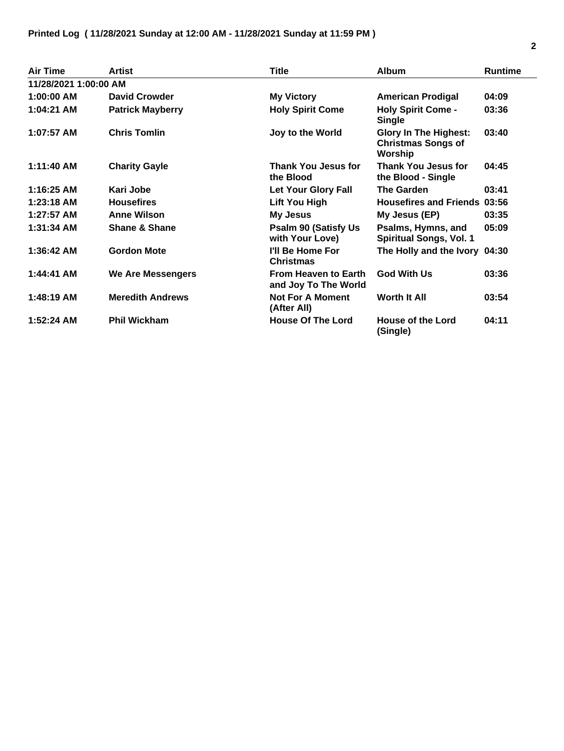| <b>Air Time</b>       | <b>Artist</b>            | <b>Title</b>                                        | <b>Album</b>                                                         | <b>Runtime</b> |
|-----------------------|--------------------------|-----------------------------------------------------|----------------------------------------------------------------------|----------------|
| 11/28/2021 1:00:00 AM |                          |                                                     |                                                                      |                |
| $1:00:00$ AM          | <b>David Crowder</b>     | <b>My Victory</b>                                   | <b>American Prodigal</b>                                             | 04:09          |
| 1:04:21 AM            | <b>Patrick Mayberry</b>  | <b>Holy Spirit Come</b>                             | <b>Holy Spirit Come -</b><br><b>Single</b>                           | 03:36          |
| $1:07:57$ AM          | <b>Chris Tomlin</b>      | Joy to the World                                    | <b>Glory In The Highest:</b><br><b>Christmas Songs of</b><br>Worship | 03:40          |
| 1:11:40 AM            | <b>Charity Gayle</b>     | <b>Thank You Jesus for</b><br>the Blood             | Thank You Jesus for<br>the Blood - Single                            | 04:45          |
| $1:16:25$ AM          | Kari Jobe                | <b>Let Your Glory Fall</b>                          | <b>The Garden</b>                                                    | 03:41          |
| $1:23:18$ AM          | <b>Housefires</b>        | <b>Lift You High</b>                                | <b>Housefires and Friends 03:56</b>                                  |                |
| $1:27:57$ AM          | <b>Anne Wilson</b>       | <b>My Jesus</b>                                     | My Jesus (EP)                                                        | 03:35          |
| 1:31:34 AM            | <b>Shane &amp; Shane</b> | <b>Psalm 90 (Satisfy Us)</b><br>with Your Love)     | Psalms, Hymns, and<br><b>Spiritual Songs, Vol. 1</b>                 | 05:09          |
| 1:36:42 AM            | <b>Gordon Mote</b>       | I'll Be Home For<br><b>Christmas</b>                | The Holly and the Ivory 04:30                                        |                |
| 1:44:41 AM            | <b>We Are Messengers</b> | <b>From Heaven to Earth</b><br>and Joy To The World | <b>God With Us</b>                                                   | 03:36          |
| 1:48:19 AM            | <b>Meredith Andrews</b>  | <b>Not For A Moment</b><br>(After All)              | <b>Worth It All</b>                                                  | 03:54          |
| $1:52:24$ AM          | <b>Phil Wickham</b>      | <b>House Of The Lord</b>                            | <b>House of the Lord</b><br>(Single)                                 | 04:11          |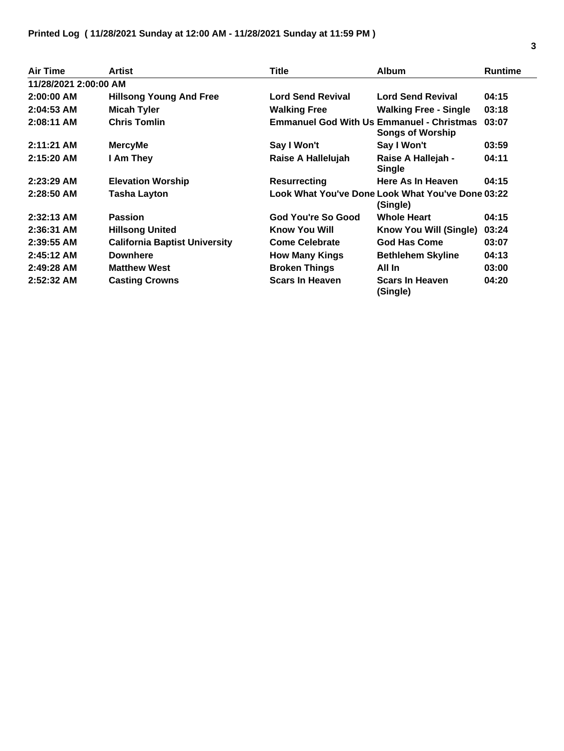| Air Time              | Artist                               | Title                    | <b>Album</b>                                                                | <b>Runtime</b> |
|-----------------------|--------------------------------------|--------------------------|-----------------------------------------------------------------------------|----------------|
| 11/28/2021 2:00:00 AM |                                      |                          |                                                                             |                |
| 2:00:00 AM            | <b>Hillsong Young And Free</b>       | <b>Lord Send Revival</b> | <b>Lord Send Revival</b>                                                    | 04:15          |
| $2:04:53$ AM          | <b>Micah Tyler</b>                   | <b>Walking Free</b>      | <b>Walking Free - Single</b>                                                | 03:18          |
| $2:08:11$ AM          | <b>Chris Tomlin</b>                  |                          | <b>Emmanuel God With Us Emmanuel - Christmas</b><br><b>Songs of Worship</b> | 03:07          |
| $2:11:21$ AM          | <b>MercyMe</b>                       | Say I Won't              | Say I Won't                                                                 | 03:59          |
| 2:15:20 AM            | I Am They                            | Raise A Hallelujah       | Raise A Hallejah -<br><b>Single</b>                                         | 04:11          |
| $2:23:29$ AM          | <b>Elevation Worship</b>             | <b>Resurrecting</b>      | Here As In Heaven                                                           | 04:15          |
| 2:28:50 AM            | <b>Tasha Layton</b>                  |                          | Look What You've Done Look What You've Done 03:22<br>(Single)               |                |
| $2:32:13$ AM          | <b>Passion</b>                       | God You're So Good       | <b>Whole Heart</b>                                                          | 04:15          |
| 2:36:31 AM            | <b>Hillsong United</b>               | <b>Know You Will</b>     | Know You Will (Single)                                                      | 03:24          |
| $2:39:55$ AM          | <b>California Baptist University</b> | <b>Come Celebrate</b>    | <b>God Has Come</b>                                                         | 03:07          |
| $2:45:12$ AM          | <b>Downhere</b>                      | <b>How Many Kings</b>    | <b>Bethlehem Skyline</b>                                                    | 04:13          |
| $2:49:28$ AM          | <b>Matthew West</b>                  | <b>Broken Things</b>     | All In                                                                      | 03:00          |
| $2:52:32$ AM          | <b>Casting Crowns</b>                | <b>Scars In Heaven</b>   | <b>Scars In Heaven</b><br>(Single)                                          | 04:20          |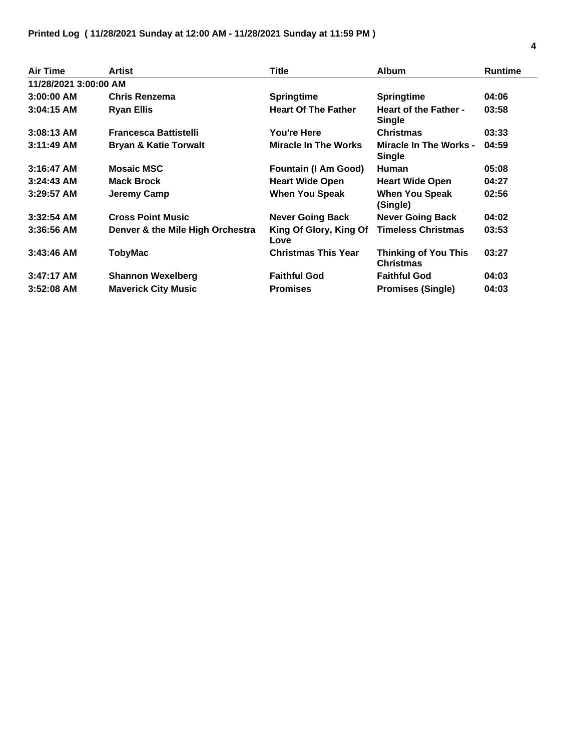| <b>Air Time</b>       | <b>Artist</b>                    | Title                          | <b>Album</b>                                    | <b>Runtime</b> |
|-----------------------|----------------------------------|--------------------------------|-------------------------------------------------|----------------|
| 11/28/2021 3:00:00 AM |                                  |                                |                                                 |                |
| $3:00:00$ AM          | <b>Chris Renzema</b>             | <b>Springtime</b>              | <b>Springtime</b>                               | 04:06          |
| $3:04:15$ AM          | <b>Ryan Ellis</b>                | <b>Heart Of The Father</b>     | <b>Heart of the Father -</b><br><b>Single</b>   | 03:58          |
| $3:08:13$ AM          | <b>Francesca Battistelli</b>     | <b>You're Here</b>             | <b>Christmas</b>                                | 03:33          |
| $3:11:49$ AM          | <b>Bryan &amp; Katie Torwalt</b> | <b>Miracle In The Works</b>    | <b>Miracle In The Works -</b><br><b>Single</b>  | 04:59          |
| $3:16:47$ AM          | <b>Mosaic MSC</b>                | <b>Fountain (I Am Good)</b>    | Human                                           | 05:08          |
| $3:24:43$ AM          | <b>Mack Brock</b>                | <b>Heart Wide Open</b>         | <b>Heart Wide Open</b>                          | 04:27          |
| $3:29:57$ AM          | Jeremy Camp                      | <b>When You Speak</b>          | <b>When You Speak</b><br>(Single)               | 02:56          |
| $3:32:54$ AM          | <b>Cross Point Music</b>         | <b>Never Going Back</b>        | <b>Never Going Back</b>                         | 04:02          |
| $3:36:56$ AM          | Denver & the Mile High Orchestra | King Of Glory, King Of<br>Love | <b>Timeless Christmas</b>                       | 03:53          |
| $3:43:46$ AM          | <b>TobyMac</b>                   | <b>Christmas This Year</b>     | <b>Thinking of You This</b><br><b>Christmas</b> | 03:27          |
| $3:47:17$ AM          | <b>Shannon Wexelberg</b>         | <b>Faithful God</b>            | <b>Faithful God</b>                             | 04:03          |
| $3:52:08$ AM          | <b>Maverick City Music</b>       | <b>Promises</b>                | <b>Promises (Single)</b>                        | 04:03          |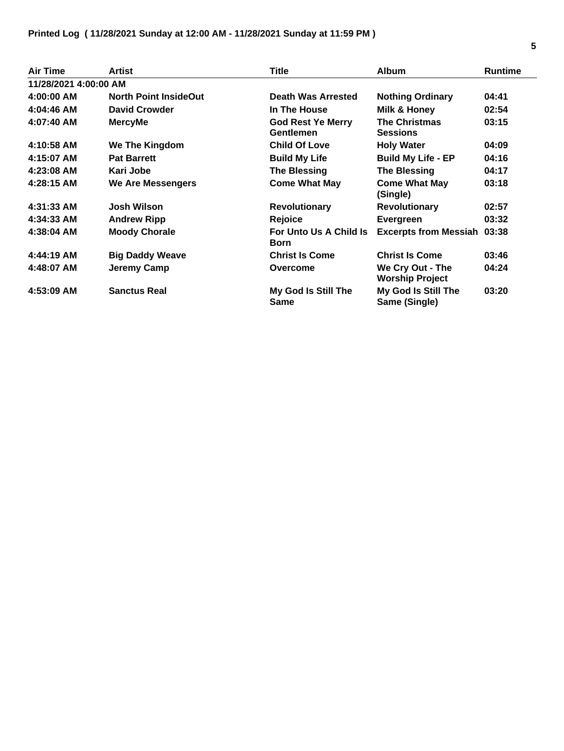| <b>Air Time</b>       | <b>Artist</b>                | <b>Title</b>                                 | <b>Album</b>                               | <b>Runtime</b> |
|-----------------------|------------------------------|----------------------------------------------|--------------------------------------------|----------------|
| 11/28/2021 4:00:00 AM |                              |                                              |                                            |                |
| 4:00:00 AM            | <b>North Point InsideOut</b> | <b>Death Was Arrested</b>                    | <b>Nothing Ordinary</b>                    | 04:41          |
| 4:04:46 AM            | <b>David Crowder</b>         | In The House                                 | Milk & Honey                               | 02:54          |
| 4:07:40 AM            | <b>MercyMe</b>               | <b>God Rest Ye Merry</b><br><b>Gentlemen</b> | <b>The Christmas</b><br><b>Sessions</b>    | 03:15          |
| 4:10:58 AM            | <b>We The Kingdom</b>        | <b>Child Of Love</b>                         | <b>Holy Water</b>                          | 04:09          |
| 4:15:07 AM            | <b>Pat Barrett</b>           | <b>Build My Life</b>                         | <b>Build My Life - EP</b>                  | 04:16          |
| 4:23:08 AM            | Kari Jobe                    | <b>The Blessing</b>                          | <b>The Blessing</b>                        | 04:17          |
| 4:28:15 AM            | <b>We Are Messengers</b>     | <b>Come What May</b>                         | <b>Come What May</b><br>(Single)           | 03:18          |
| 4:31:33 AM            | <b>Josh Wilson</b>           | <b>Revolutionary</b>                         | <b>Revolutionary</b>                       | 02:57          |
| 4:34:33 AM            | <b>Andrew Ripp</b>           | <b>Rejoice</b>                               | Evergreen                                  | 03:32          |
| 4:38:04 AM            | <b>Moody Chorale</b>         | For Unto Us A Child Is<br><b>Born</b>        | <b>Excerpts from Messiah 03:38</b>         |                |
| 4:44:19 AM            | <b>Big Daddy Weave</b>       | <b>Christ Is Come</b>                        | <b>Christ Is Come</b>                      | 03:46          |
| 4:48:07 AM            | <b>Jeremy Camp</b>           | Overcome                                     | We Cry Out - The<br><b>Worship Project</b> | 04:24          |
| 4:53:09 AM            | <b>Sanctus Real</b>          | My God Is Still The<br>Same                  | My God Is Still The<br>Same (Single)       | 03:20          |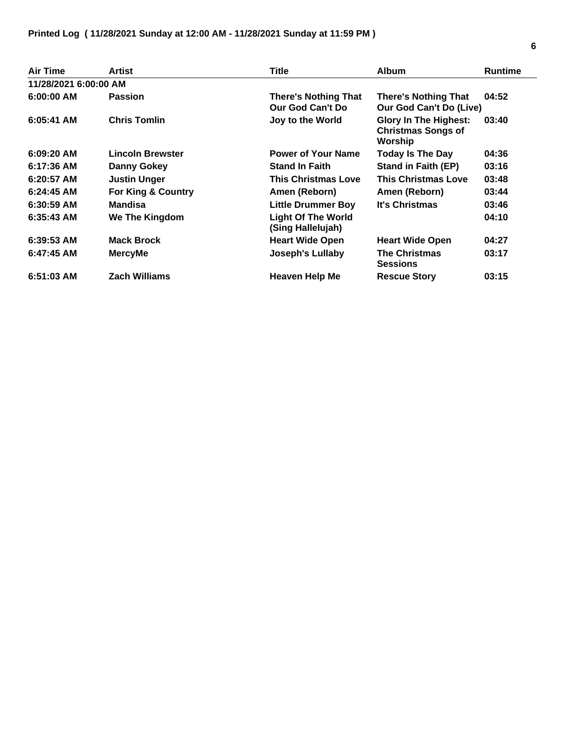| <b>Air Time</b>       | <b>Artist</b>           | <b>Title</b>                                    | <b>Album</b>                                                         | <b>Runtime</b> |
|-----------------------|-------------------------|-------------------------------------------------|----------------------------------------------------------------------|----------------|
| 11/28/2021 6:00:00 AM |                         |                                                 |                                                                      |                |
| $6:00:00$ AM          | <b>Passion</b>          | <b>There's Nothing That</b><br>Our God Can't Do | <b>There's Nothing That</b><br>Our God Can't Do (Live)               | 04:52          |
| $6:05:41$ AM          | <b>Chris Tomlin</b>     | Joy to the World                                | <b>Glory In The Highest:</b><br><b>Christmas Songs of</b><br>Worship | 03:40          |
| $6:09:20$ AM          | <b>Lincoln Brewster</b> | <b>Power of Your Name</b>                       | <b>Today Is The Day</b>                                              | 04:36          |
| 6:17:36 AM            | Danny Gokey             | <b>Stand In Faith</b>                           | <b>Stand in Faith (EP)</b>                                           | 03:16          |
| $6:20:57$ AM          | <b>Justin Unger</b>     | <b>This Christmas Love</b>                      | <b>This Christmas Love</b>                                           | 03:48          |
| $6:24:45$ AM          | For King & Country      | Amen (Reborn)                                   | Amen (Reborn)                                                        | 03:44          |
| $6:30:59$ AM          | <b>Mandisa</b>          | <b>Little Drummer Boy</b>                       | <b>It's Christmas</b>                                                | 03:46          |
| $6:35:43$ AM          | We The Kingdom          | <b>Light Of The World</b><br>(Sing Hallelujah)  |                                                                      | 04:10          |
| $6:39:53$ AM          | <b>Mack Brock</b>       | <b>Heart Wide Open</b>                          | <b>Heart Wide Open</b>                                               | 04:27          |
| $6:47:45$ AM          | <b>MercyMe</b>          | Joseph's Lullaby                                | <b>The Christmas</b><br><b>Sessions</b>                              | 03:17          |
| $6:51:03$ AM          | <b>Zach Williams</b>    | <b>Heaven Help Me</b>                           | <b>Rescue Story</b>                                                  | 03:15          |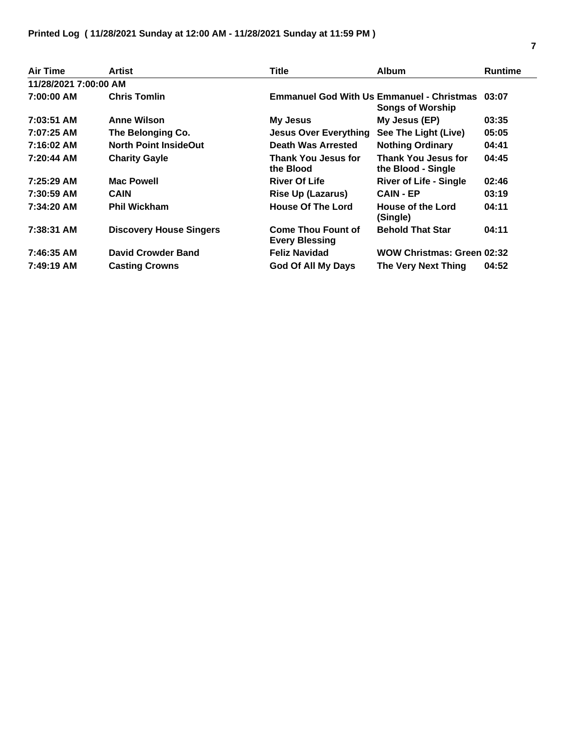| <b>Air Time</b>       | Artist                         | Title                                              | <b>Album</b>                                                                | <b>Runtime</b> |
|-----------------------|--------------------------------|----------------------------------------------------|-----------------------------------------------------------------------------|----------------|
| 11/28/2021 7:00:00 AM |                                |                                                    |                                                                             |                |
| 7:00:00 AM            | <b>Chris Tomlin</b>            |                                                    | <b>Emmanuel God With Us Emmanuel - Christmas</b><br><b>Songs of Worship</b> | 03:07          |
| 7:03:51 AM            | <b>Anne Wilson</b>             | <b>My Jesus</b>                                    | My Jesus (EP)                                                               | 03:35          |
| 7:07:25 AM            | The Belonging Co.              | <b>Jesus Over Everything</b>                       | See The Light (Live)                                                        | 05:05          |
| 7:16:02 AM            | <b>North Point InsideOut</b>   | Death Was Arrested                                 | <b>Nothing Ordinary</b>                                                     | 04:41          |
| 7:20:44 AM            | <b>Charity Gayle</b>           | Thank You Jesus for<br>the Blood                   | <b>Thank You Jesus for</b><br>the Blood - Single                            | 04:45          |
| 7:25:29 AM            | <b>Mac Powell</b>              | <b>River Of Life</b>                               | <b>River of Life - Single</b>                                               | 02:46          |
| 7:30:59 AM            | <b>CAIN</b>                    | <b>Rise Up (Lazarus)</b>                           | <b>CAIN - EP</b>                                                            | 03:19          |
| 7:34:20 AM            | <b>Phil Wickham</b>            | <b>House Of The Lord</b>                           | <b>House of the Lord</b><br>(Single)                                        | 04:11          |
| 7:38:31 AM            | <b>Discovery House Singers</b> | <b>Come Thou Fount of</b><br><b>Every Blessing</b> | <b>Behold That Star</b>                                                     | 04:11          |
| 7:46:35 AM            | <b>David Crowder Band</b>      | <b>Feliz Navidad</b>                               | WOW Christmas: Green 02:32                                                  |                |
| 7:49:19 AM            | <b>Casting Crowns</b>          | <b>God Of All My Days</b>                          | The Very Next Thing                                                         | 04:52          |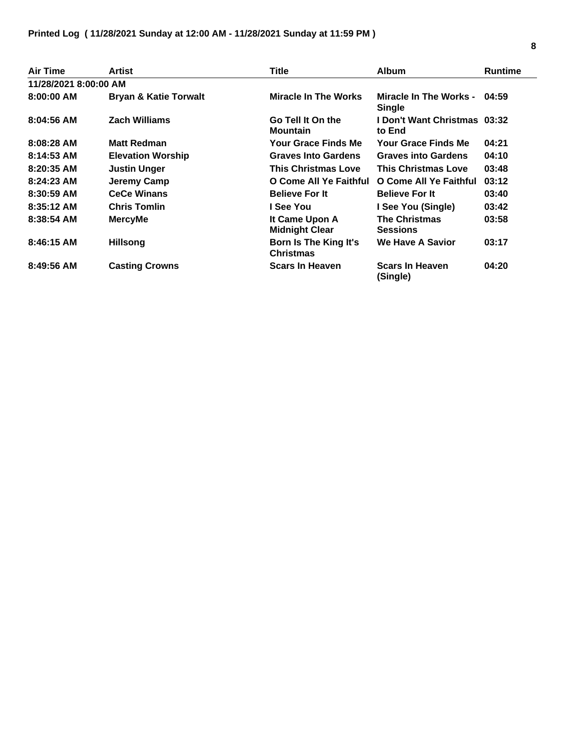| Air Time              | <b>Artist</b>                    | Title                                     | <b>Album</b>                                  | <b>Runtime</b> |
|-----------------------|----------------------------------|-------------------------------------------|-----------------------------------------------|----------------|
| 11/28/2021 8:00:00 AM |                                  |                                           |                                               |                |
| $8:00:00$ AM          | <b>Bryan &amp; Katie Torwalt</b> | Miracle In The Works                      | Miracle In The Works - 04:59<br><b>Single</b> |                |
| $8:04:56$ AM          | <b>Zach Williams</b>             | Go Tell It On the<br><b>Mountain</b>      | <b>I Don't Want Christmas 03:32</b><br>to End |                |
| $8:08:28$ AM          | <b>Matt Redman</b>               | Your Grace Finds Me                       | Your Grace Finds Me                           | 04:21          |
| $8:14:53$ AM          | <b>Elevation Worship</b>         | <b>Graves Into Gardens</b>                | <b>Graves into Gardens</b>                    | 04:10          |
| $8:20:35$ AM          | <b>Justin Unger</b>              | <b>This Christmas Love</b>                | <b>This Christmas Love</b>                    | 03:48          |
| $8:24:23$ AM          | Jeremy Camp                      | O Come All Ye Faithful                    | O Come All Ye Faithful                        | 03:12          |
| 8:30:59 AM            | <b>CeCe Winans</b>               | <b>Believe For It</b>                     | <b>Believe For It</b>                         | 03:40          |
| $8:35:12$ AM          | <b>Chris Tomlin</b>              | I See You                                 | I See You (Single)                            | 03:42          |
| $8:38:54$ AM          | <b>MercyMe</b>                   | It Came Upon A<br><b>Midnight Clear</b>   | <b>The Christmas</b><br><b>Sessions</b>       | 03:58          |
| 8:46:15 AM            | <b>Hillsong</b>                  | Born Is The King It's<br><b>Christmas</b> | <b>We Have A Savior</b>                       | 03:17          |
| 8:49:56 AM            | <b>Casting Crowns</b>            | <b>Scars In Heaven</b>                    | <b>Scars In Heaven</b><br>(Single)            | 04:20          |

L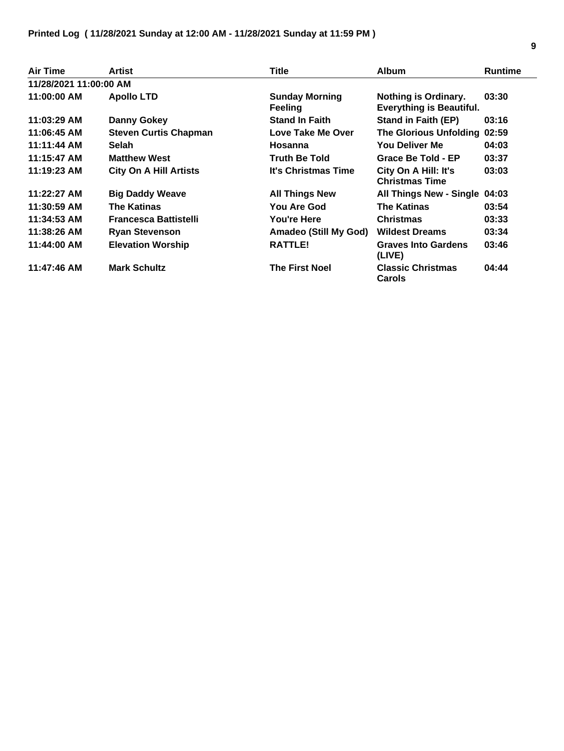| <b>Air Time</b>        | Artist                        | Title                                   | <b>Album</b>                                            | <b>Runtime</b> |
|------------------------|-------------------------------|-----------------------------------------|---------------------------------------------------------|----------------|
| 11/28/2021 11:00:00 AM |                               |                                         |                                                         |                |
| 11:00:00 AM            | <b>Apollo LTD</b>             | <b>Sunday Morning</b><br><b>Feeling</b> | Nothing is Ordinary.<br><b>Everything is Beautiful.</b> | 03:30          |
| 11:03:29 AM            | Danny Gokey                   | <b>Stand In Faith</b>                   | <b>Stand in Faith (EP)</b>                              | 03:16          |
| 11:06:45 AM            | <b>Steven Curtis Chapman</b>  | Love Take Me Over                       | <b>The Glorious Unfolding</b>                           | 02:59          |
| 11:11:44 AM            | <b>Selah</b>                  | Hosanna                                 | You Deliver Me                                          | 04:03          |
| 11:15:47 AM            | <b>Matthew West</b>           | <b>Truth Be Told</b>                    | Grace Be Told - EP                                      | 03:37          |
| 11:19:23 AM            | <b>City On A Hill Artists</b> | <b>It's Christmas Time</b>              | City On A Hill: It's<br><b>Christmas Time</b>           | 03:03          |
| $11:22:27$ AM          | <b>Big Daddy Weave</b>        | <b>All Things New</b>                   | <b>All Things New - Single</b>                          | 04:03          |
| 11:30:59 AM            | <b>The Katinas</b>            | <b>You Are God</b>                      | The Katinas                                             | 03:54          |
| 11:34:53 AM            | <b>Francesca Battistelli</b>  | You're Here                             | <b>Christmas</b>                                        | 03:33          |
| 11:38:26 AM            | <b>Ryan Stevenson</b>         | Amadeo (Still My God)                   | <b>Wildest Dreams</b>                                   | 03:34          |
| 11:44:00 AM            | <b>Elevation Worship</b>      | RATTLE!                                 | <b>Graves Into Gardens</b><br>(LIVE)                    | 03:46          |
| 11:47:46 AM            | <b>Mark Schultz</b>           | <b>The First Noel</b>                   | <b>Classic Christmas</b><br>Carols                      | 04:44          |

 $\overline{a}$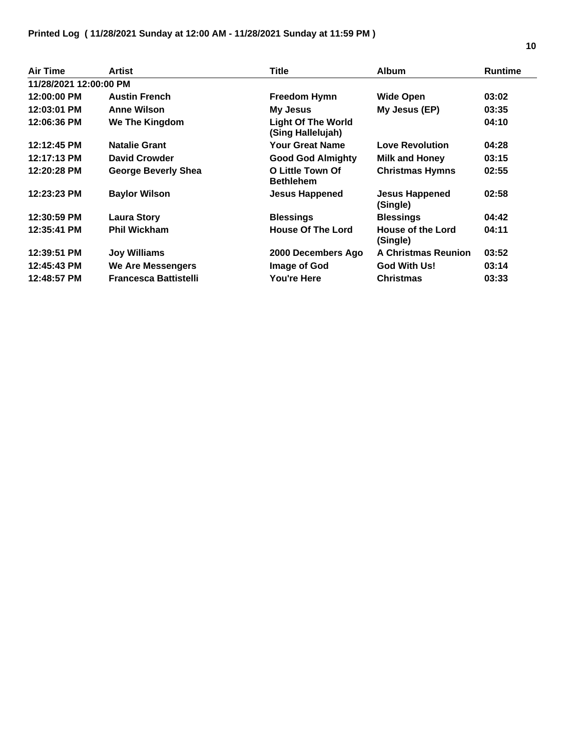| Air Time               | Artist                       | <b>Title</b>                                   | <b>Album</b>                  | <b>Runtime</b> |
|------------------------|------------------------------|------------------------------------------------|-------------------------------|----------------|
| 11/28/2021 12:00:00 PM |                              |                                                |                               |                |
| 12:00:00 PM            | <b>Austin French</b>         | <b>Freedom Hymn</b>                            | <b>Wide Open</b>              | 03:02          |
| 12:03:01 PM            | <b>Anne Wilson</b>           | My Jesus                                       | My Jesus (EP)                 | 03:35          |
| 12:06:36 PM            | We The Kingdom               | <b>Light Of The World</b><br>(Sing Hallelujah) |                               | 04:10          |
| 12:12:45 PM            | <b>Natalie Grant</b>         | Your Great Name                                | <b>Love Revolution</b>        | 04:28          |
| 12:17:13 PM            | <b>David Crowder</b>         | <b>Good God Almighty</b>                       | <b>Milk and Honey</b>         | 03:15          |
| 12:20:28 PM            | George Beverly Shea          | O Little Town Of<br><b>Bethlehem</b>           | <b>Christmas Hymns</b>        | 02:55          |
| 12:23:23 PM            | <b>Baylor Wilson</b>         | <b>Jesus Happened</b>                          | Jesus Happened<br>(Single)    | 02:58          |
| 12:30:59 PM            | <b>Laura Story</b>           | <b>Blessings</b>                               | <b>Blessings</b>              | 04:42          |
| 12:35:41 PM            | <b>Phil Wickham</b>          | <b>House Of The Lord</b>                       | House of the Lord<br>(Single) | 04:11          |
| 12:39:51 PM            | <b>Joy Williams</b>          | 2000 Decembers Ago                             | <b>A Christmas Reunion</b>    | 03:52          |
| 12:45:43 PM            | <b>We Are Messengers</b>     | Image of God                                   | <b>God With Us!</b>           | 03:14          |
| 12:48:57 PM            | <b>Francesca Battistelli</b> | <b>You're Here</b>                             | <b>Christmas</b>              | 03:33          |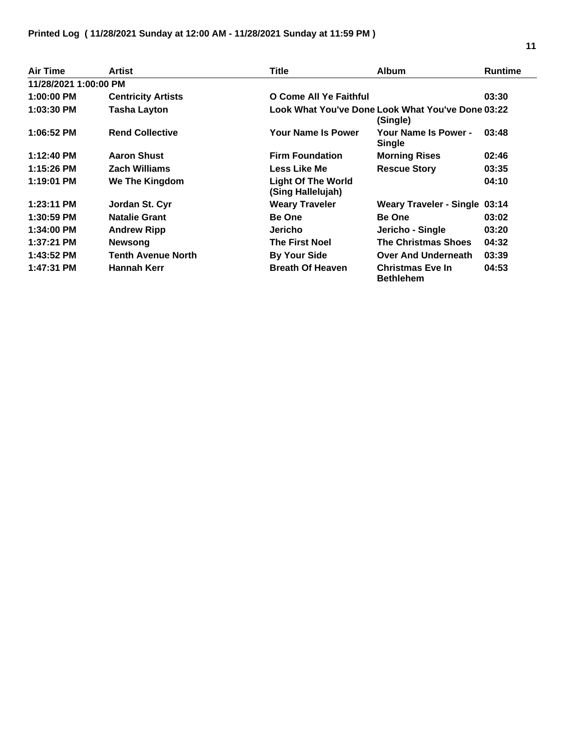| Air Time              | <b>Artist</b>             | <b>Title</b>                                   | <b>Album</b>                                                  | <b>Runtime</b> |
|-----------------------|---------------------------|------------------------------------------------|---------------------------------------------------------------|----------------|
| 11/28/2021 1:00:00 PM |                           |                                                |                                                               |                |
| 1:00:00 PM            | <b>Centricity Artists</b> | O Come All Ye Faithful                         |                                                               | 03:30          |
| 1:03:30 PM            | <b>Tasha Layton</b>       |                                                | Look What You've Done Look What You've Done 03:22<br>(Single) |                |
| 1:06:52 PM            | <b>Rend Collective</b>    | Your Name Is Power                             | Your Name Is Power -<br><b>Single</b>                         | 03:48          |
| 1:12:40 PM            | <b>Aaron Shust</b>        | <b>Firm Foundation</b>                         | <b>Morning Rises</b>                                          | 02:46          |
| 1:15:26 PM            | <b>Zach Williams</b>      | Less Like Me                                   | <b>Rescue Story</b>                                           | 03:35          |
| 1:19:01 PM            | We The Kingdom            | <b>Light Of The World</b><br>(Sing Hallelujah) |                                                               | 04:10          |
| $1:23:11$ PM          | Jordan St. Cyr            | <b>Weary Traveler</b>                          | <b>Weary Traveler - Single 03:14</b>                          |                |
| 1:30:59 PM            | <b>Natalie Grant</b>      | <b>Be One</b>                                  | <b>Be One</b>                                                 | 03:02          |
| 1:34:00 PM            | <b>Andrew Ripp</b>        | Jericho                                        | Jericho - Single                                              | 03:20          |
| 1:37:21 PM            | <b>Newsong</b>            | <b>The First Noel</b>                          | <b>The Christmas Shoes</b>                                    | 04:32          |
| 1:43:52 PM            | <b>Tenth Avenue North</b> | <b>By Your Side</b>                            | <b>Over And Underneath</b>                                    | 03:39          |
| 1:47:31 PM            | Hannah Kerr               | <b>Breath Of Heaven</b>                        | <b>Christmas Eve In</b><br><b>Bethlehem</b>                   | 04:53          |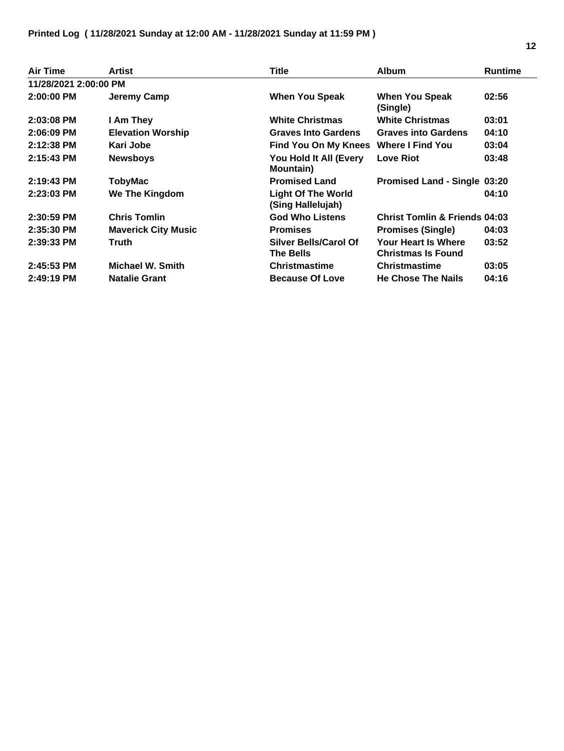| <b>Air Time</b>       | Artist                     | Title                                            | <b>Album</b>                                     | <b>Runtime</b> |
|-----------------------|----------------------------|--------------------------------------------------|--------------------------------------------------|----------------|
| 11/28/2021 2:00:00 PM |                            |                                                  |                                                  |                |
| $2:00:00$ PM          | Jeremy Camp                | <b>When You Speak</b>                            | <b>When You Speak</b><br>(Single)                | 02:56          |
| $2:03:08$ PM          | I Am They                  | <b>White Christmas</b>                           | <b>White Christmas</b>                           | 03:01          |
| $2:06:09$ PM          | <b>Elevation Worship</b>   | <b>Graves Into Gardens</b>                       | <b>Graves into Gardens</b>                       | 04:10          |
| $2:12:38$ PM          | Kari Jobe                  | Find You On My Knees Where I Find You            |                                                  | 03:04          |
| $2:15:43$ PM          | <b>Newsboys</b>            | You Hold It All (Every<br><b>Mountain</b> )      | <b>Love Riot</b>                                 | 03:48          |
| $2:19:43$ PM          | TobyMac                    | <b>Promised Land</b>                             | Promised Land - Single 03:20                     |                |
| $2:23:03$ PM          | We The Kingdom             | <b>Light Of The World</b><br>(Sing Hallelujah)   |                                                  | 04:10          |
| $2:30:59$ PM          | <b>Chris Tomlin</b>        | <b>God Who Listens</b>                           | <b>Christ Tomlin &amp; Friends 04:03</b>         |                |
| 2:35:30 PM            | <b>Maverick City Music</b> | <b>Promises</b>                                  | <b>Promises (Single)</b>                         | 04:03          |
| 2:39:33 PM            | <b>Truth</b>               | <b>Silver Bells/Carol Of</b><br><b>The Bells</b> | Your Heart Is Where<br><b>Christmas Is Found</b> | 03:52          |
| 2:45:53 PM            | Michael W. Smith           | <b>Christmastime</b>                             | <b>Christmastime</b>                             | 03:05          |
| 2:49:19 PM            | <b>Natalie Grant</b>       | <b>Because Of Love</b>                           | <b>He Chose The Nails</b>                        | 04:16          |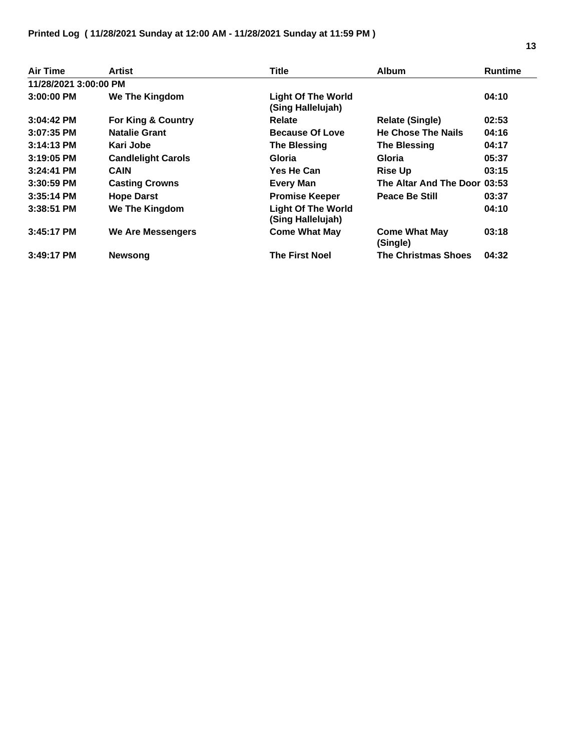| Air Time              | Artist                    | Title                                          | <b>Album</b>                     | <b>Runtime</b> |
|-----------------------|---------------------------|------------------------------------------------|----------------------------------|----------------|
| 11/28/2021 3:00:00 PM |                           |                                                |                                  |                |
| $3:00:00$ PM          | <b>We The Kingdom</b>     | <b>Light Of The World</b><br>(Sing Hallelujah) |                                  | 04:10          |
| $3:04:42$ PM          | For King & Country        | <b>Relate</b>                                  | <b>Relate (Single)</b>           | 02:53          |
| $3:07:35$ PM          | <b>Natalie Grant</b>      | Because Of Love                                | <b>He Chose The Nails</b>        | 04:16          |
| $3:14:13$ PM          | Kari Jobe                 | <b>The Blessing</b>                            | <b>The Blessing</b>              | 04:17          |
| $3:19:05$ PM          | <b>Candlelight Carols</b> | Gloria                                         | Gloria                           | 05:37          |
| 3:24:41 PM            | <b>CAIN</b>               | <b>Yes He Can</b>                              | <b>Rise Up</b>                   | 03:15          |
| $3:30:59$ PM          | <b>Casting Crowns</b>     | <b>Every Man</b>                               | The Altar And The Door 03:53     |                |
| $3:35:14$ PM          | <b>Hope Darst</b>         | <b>Promise Keeper</b>                          | <b>Peace Be Still</b>            | 03:37          |
| $3:38:51$ PM          | We The Kingdom            | <b>Light Of The World</b><br>(Sing Hallelujah) |                                  | 04:10          |
| $3:45:17$ PM          | <b>We Are Messengers</b>  | <b>Come What May</b>                           | <b>Come What May</b><br>(Single) | 03:18          |
| $3:49:17$ PM          | <b>Newsong</b>            | <b>The First Noel</b>                          | <b>The Christmas Shoes</b>       | 04:32          |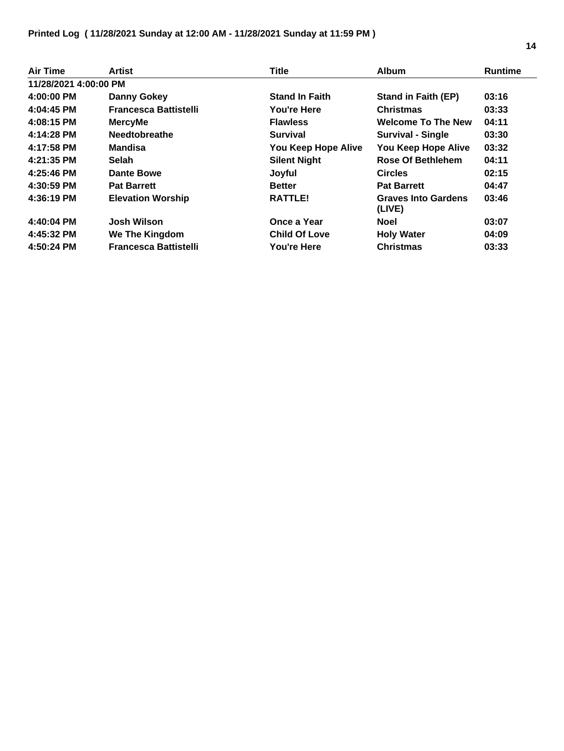| Air Time              | Artist                       | <b>Title</b>          | <b>Album</b>                         | <b>Runtime</b> |
|-----------------------|------------------------------|-----------------------|--------------------------------------|----------------|
| 11/28/2021 4:00:00 PM |                              |                       |                                      |                |
| 4:00:00 PM            | <b>Danny Gokey</b>           | <b>Stand In Faith</b> | <b>Stand in Faith (EP)</b>           | 03:16          |
| 4:04:45 PM            | <b>Francesca Battistelli</b> | <b>You're Here</b>    | <b>Christmas</b>                     | 03:33          |
| 4:08:15 PM            | <b>MercyMe</b>               | <b>Flawless</b>       | <b>Welcome To The New</b>            | 04:11          |
| 4:14:28 PM            | <b>Needtobreathe</b>         | <b>Survival</b>       | <b>Survival - Single</b>             | 03:30          |
| 4:17:58 PM            | <b>Mandisa</b>               | You Keep Hope Alive   | You Keep Hope Alive                  | 03:32          |
| 4:21:35 PM            | Selah                        | <b>Silent Night</b>   | <b>Rose Of Bethlehem</b>             | 04:11          |
| 4:25:46 PM            | <b>Dante Bowe</b>            | Joyful                | <b>Circles</b>                       | 02:15          |
| 4:30:59 PM            | <b>Pat Barrett</b>           | <b>Better</b>         | <b>Pat Barrett</b>                   | 04:47          |
| 4:36:19 PM            | <b>Elevation Worship</b>     | RATTLE!               | <b>Graves Into Gardens</b><br>(LIVE) | 03:46          |
| 4:40:04 PM            | Josh Wilson                  | Once a Year           | <b>Noel</b>                          | 03:07          |
| 4:45:32 PM            | <b>We The Kingdom</b>        | <b>Child Of Love</b>  | <b>Holy Water</b>                    | 04:09          |
| 4:50:24 PM            | <b>Francesca Battistelli</b> | <b>You're Here</b>    | <b>Christmas</b>                     | 03:33          |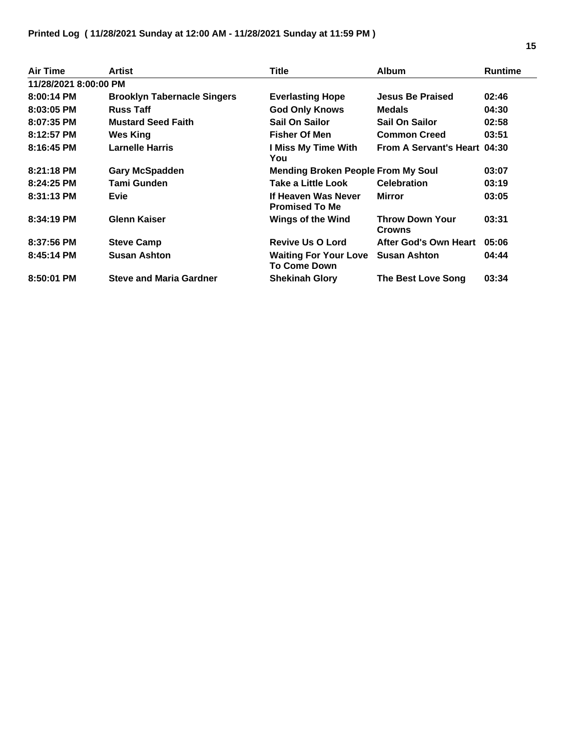| Air Time              | Artist                             | <b>Title</b>                                        | <b>Album</b>                            | <b>Runtime</b> |
|-----------------------|------------------------------------|-----------------------------------------------------|-----------------------------------------|----------------|
| 11/28/2021 8:00:00 PM |                                    |                                                     |                                         |                |
| $8:00:14$ PM          | <b>Brooklyn Tabernacle Singers</b> | <b>Everlasting Hope</b>                             | <b>Jesus Be Praised</b>                 | 02:46          |
| $8:03:05$ PM          | <b>Russ Taff</b>                   | <b>God Only Knows</b>                               | <b>Medals</b>                           | 04:30          |
| 8:07:35 PM            | <b>Mustard Seed Faith</b>          | Sail On Sailor                                      | Sail On Sailor                          | 02:58          |
| 8:12:57 PM            | Wes King                           | <b>Fisher Of Men</b>                                | <b>Common Creed</b>                     | 03:51          |
| 8:16:45 PM            | <b>Larnelle Harris</b>             | I Miss My Time With<br>You                          | From A Servant's Heart 04:30            |                |
| $8:21:18$ PM          | <b>Gary McSpadden</b>              | <b>Mending Broken People From My Soul</b>           |                                         | 03:07          |
| 8:24:25 PM            | Tami Gunden                        | <b>Take a Little Look</b>                           | <b>Celebration</b>                      | 03:19          |
| 8:31:13 PM            | <b>Evie</b>                        | If Heaven Was Never<br><b>Promised To Me</b>        | <b>Mirror</b>                           | 03:05          |
| 8:34:19 PM            | <b>Glenn Kaiser</b>                | <b>Wings of the Wind</b>                            | <b>Throw Down Your</b><br><b>Crowns</b> | 03:31          |
| 8:37:56 PM            | <b>Steve Camp</b>                  | <b>Revive Us O Lord</b>                             | After God's Own Heart                   | 05:06          |
| 8:45:14 PM            | <b>Susan Ashton</b>                | <b>Waiting For Your Love</b><br><b>To Come Down</b> | <b>Susan Ashton</b>                     | 04:44          |
| 8:50:01 PM            | <b>Steve and Maria Gardner</b>     | <b>Shekinah Glory</b>                               | The Best Love Song                      | 03:34          |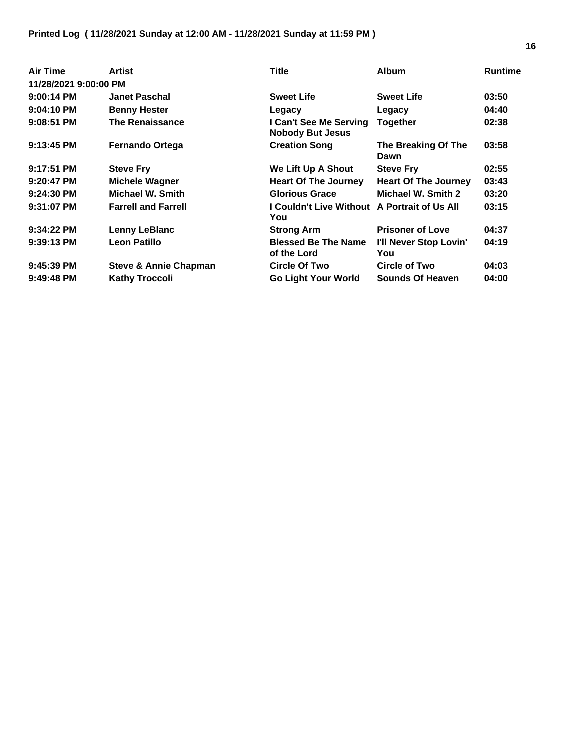| Air Time              | Artist                           | Title                                               | <b>Album</b>                  | <b>Runtime</b> |
|-----------------------|----------------------------------|-----------------------------------------------------|-------------------------------|----------------|
| 11/28/2021 9:00:00 PM |                                  |                                                     |                               |                |
| $9:00:14$ PM          | <b>Janet Paschal</b>             | <b>Sweet Life</b>                                   | <b>Sweet Life</b>             | 03:50          |
| $9:04:10$ PM          | <b>Benny Hester</b>              | Legacy                                              | Legacy                        | 04:40          |
| $9:08:51$ PM          | <b>The Renaissance</b>           | I Can't See Me Serving<br><b>Nobody But Jesus</b>   | <b>Together</b>               | 02:38          |
| $9:13:45$ PM          | <b>Fernando Ortega</b>           | <b>Creation Song</b>                                | The Breaking Of The<br>Dawn   | 03:58          |
| $9:17:51$ PM          | <b>Steve Fry</b>                 | We Lift Up A Shout                                  | <b>Steve Fry</b>              | 02:55          |
| $9:20:47$ PM          | <b>Michele Wagner</b>            | <b>Heart Of The Journey</b>                         | <b>Heart Of The Journey</b>   | 03:43          |
| $9:24:30$ PM          | Michael W. Smith                 | <b>Glorious Grace</b>                               | Michael W. Smith 2            | 03:20          |
| 9:31:07 PM            | <b>Farrell and Farrell</b>       | I Couldn't Live Without A Portrait of Us All<br>You |                               | 03:15          |
| $9:34:22$ PM          | <b>Lenny LeBlanc</b>             | <b>Strong Arm</b>                                   | <b>Prisoner of Love</b>       | 04:37          |
| $9:39:13$ PM          | <b>Leon Patillo</b>              | <b>Blessed Be The Name</b><br>of the Lord           | I'll Never Stop Lovin'<br>You | 04:19          |
| $9:45:39$ PM          | <b>Steve &amp; Annie Chapman</b> | Circle Of Two                                       | Circle of Two                 | 04:03          |
| $9:49:48$ PM          | <b>Kathy Troccoli</b>            | <b>Go Light Your World</b>                          | Sounds Of Heaven              | 04:00          |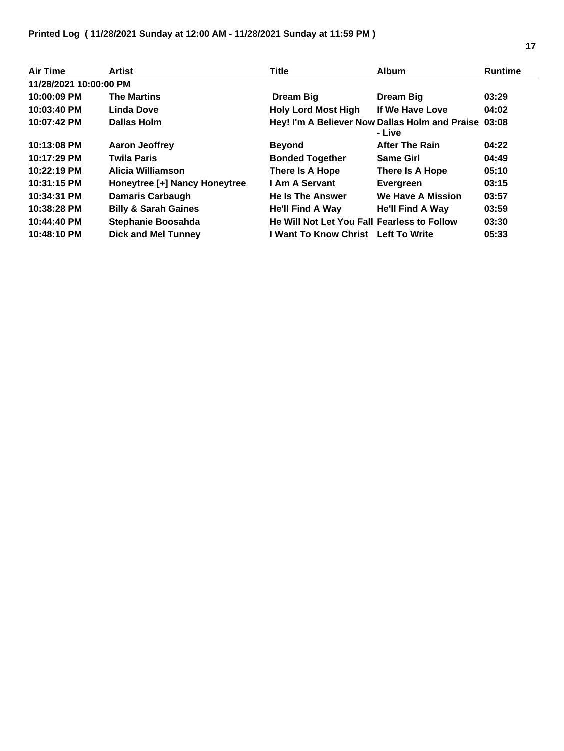| Air Time               | <b>Artist</b>                   | <b>Title</b>                                | <b>Album</b>                                                   | <b>Runtime</b> |
|------------------------|---------------------------------|---------------------------------------------|----------------------------------------------------------------|----------------|
| 11/28/2021 10:00:00 PM |                                 |                                             |                                                                |                |
| 10:00:09 PM            | <b>The Martins</b>              | Dream Big                                   | <b>Dream Big</b>                                               | 03:29          |
| 10:03:40 PM            | Linda Dove                      | <b>Holy Lord Most High</b>                  | If We Have Love                                                | 04:02          |
| 10:07:42 PM            | <b>Dallas Holm</b>              |                                             | Hey! I'm A Believer Now Dallas Holm and Praise 03:08<br>- Live |                |
| 10:13:08 PM            | <b>Aaron Jeoffrey</b>           | <b>Beyond</b>                               | <b>After The Rain</b>                                          | 04:22          |
| 10:17:29 PM            | <b>Twila Paris</b>              | <b>Bonded Together</b>                      | <b>Same Girl</b>                                               | 04:49          |
| 10:22:19 PM            | Alicia Williamson               | There Is A Hope                             | There Is A Hope                                                | 05:10          |
| 10:31:15 PM            | Honeytree [+] Nancy Honeytree   | I Am A Servant                              | Evergreen                                                      | 03:15          |
| 10:34:31 PM            | <b>Damaris Carbaugh</b>         | <b>He Is The Answer</b>                     | <b>We Have A Mission</b>                                       | 03:57          |
| 10:38:28 PM            | <b>Billy &amp; Sarah Gaines</b> | He'll Find A Way                            | He'll Find A Way                                               | 03:59          |
| 10:44:40 PM            | Stephanie Boosahda              | He Will Not Let You Fall Fearless to Follow |                                                                | 03:30          |
| 10:48:10 PM            | <b>Dick and Mel Tunney</b>      | I Want To Know Christ Left To Write         |                                                                | 05:33          |